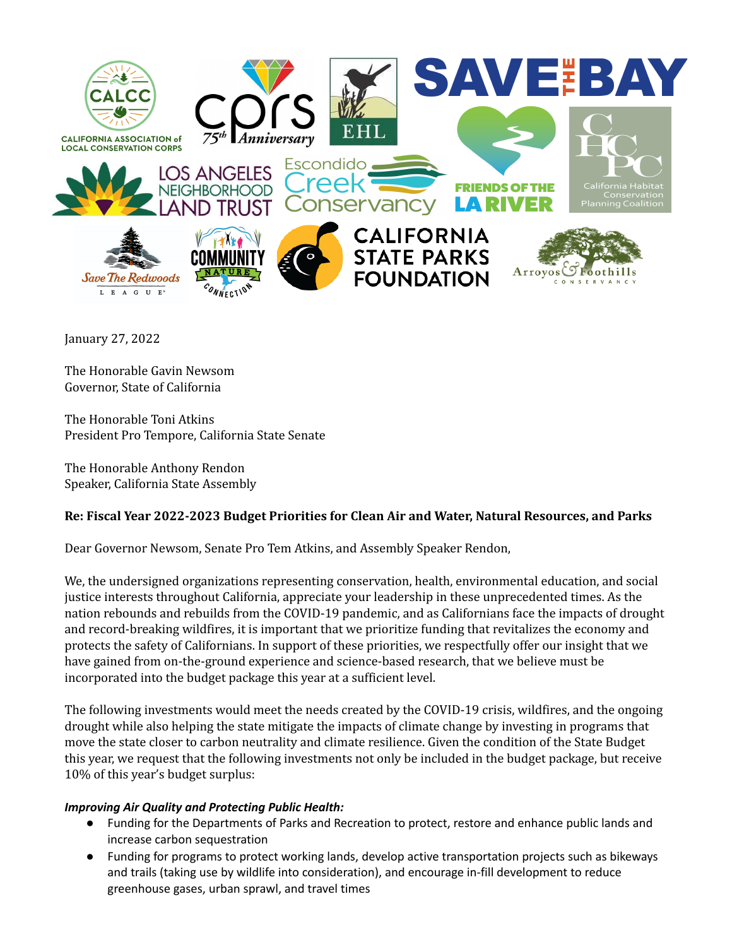

January 27, 2022

The Honorable Gavin Newsom Governor, State of California

The Honorable Toni Atkins President Pro Tempore, California State Senate

The Honorable Anthony Rendon Speaker, California State Assembly

# **Re: Fiscal Year 2022-2023 Budget Priorities for Clean Air and Water, Natural Resources, and Parks**

Dear Governor Newsom, Senate Pro Tem Atkins, and Assembly Speaker Rendon,

We, the undersigned organizations representing conservation, health, environmental education, and social justice interests throughout California, appreciate your leadership in these unprecedented times. As the nation rebounds and rebuilds from the COVID-19 pandemic, and as Californians face the impacts of drought and record-breaking wildfires, it is important that we prioritize funding that revitalizes the economy and protects the safety of Californians. In support of these priorities, we respectfully offer our insight that we have gained from on-the-ground experience and science-based research, that we believe must be incorporated into the budget package this year at a sufficient level.

The following investments would meet the needs created by the COVID-19 crisis, wildfires, and the ongoing drought while also helping the state mitigate the impacts of climate change by investing in programs that move the state closer to carbon neutrality and climate resilience. Given the condition of the State Budget this year, we request that the following investments not only be included in the budget package, but receive 10% of this year's budget surplus:

## *Improving Air Quality and Protecting Public Health:*

- Funding for the Departments of Parks and Recreation to protect, restore and enhance public lands and increase carbon sequestration
- Funding for programs to protect working lands, develop active transportation projects such as bikeways and trails (taking use by wildlife into consideration), and encourage in-fill development to reduce greenhouse gases, urban sprawl, and travel times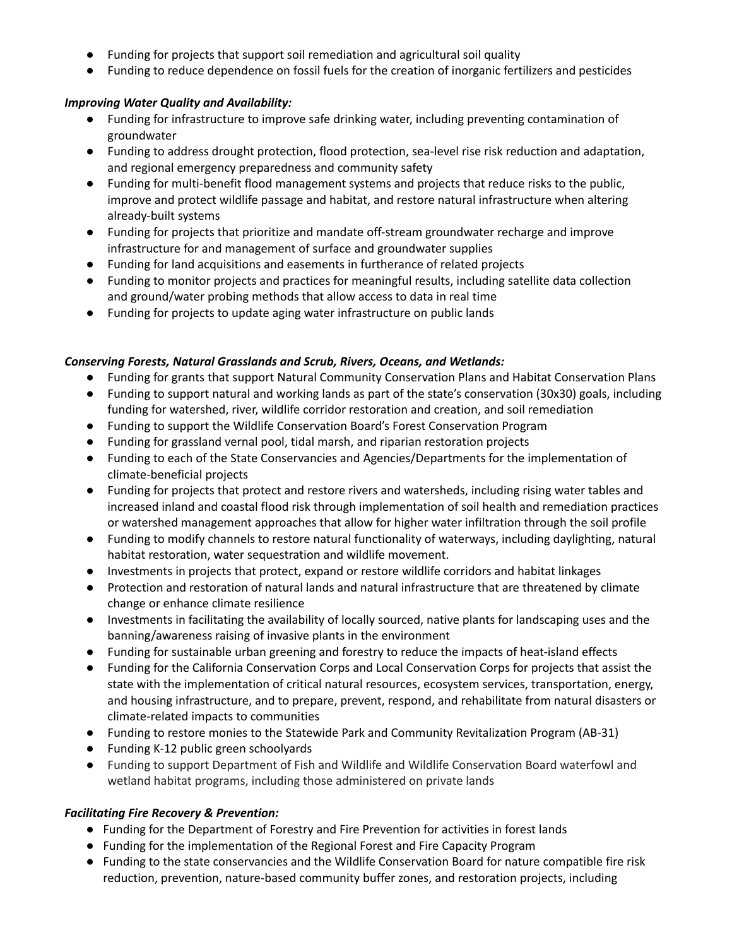- Funding for projects that support soil remediation and agricultural soil quality
- Funding to reduce dependence on fossil fuels for the creation of inorganic fertilizers and pesticides

## *Improving Water Quality and Availability:*

- Funding for infrastructure to improve safe drinking water, including preventing contamination of groundwater
- Funding to address drought protection, flood protection, sea-level rise risk reduction and adaptation, and regional emergency preparedness and community safety
- Funding for multi-benefit flood management systems and projects that reduce risks to the public, improve and protect wildlife passage and habitat, and restore natural infrastructure when altering already-built systems
- Funding for projects that prioritize and mandate off-stream groundwater recharge and improve infrastructure for and management of surface and groundwater supplies
- Funding for land acquisitions and easements in furtherance of related projects
- Funding to monitor projects and practices for meaningful results, including satellite data collection and ground/water probing methods that allow access to data in real time
- Funding for projects to update aging water infrastructure on public lands

## *Conserving Forests, Natural Grasslands and Scrub, Rivers, Oceans, and Wetlands:*

- Funding for grants that support Natural Community Conservation Plans and Habitat Conservation Plans
- Funding to support natural and working lands as part of the state's conservation (30x30) goals, including funding for watershed, river, wildlife corridor restoration and creation, and soil remediation
- Funding to support the Wildlife Conservation Board's Forest Conservation Program
- Funding for grassland vernal pool, tidal marsh, and riparian restoration projects
- Funding to each of the State Conservancies and Agencies/Departments for the implementation of climate-beneficial projects
- Funding for projects that protect and restore rivers and watersheds, including rising water tables and increased inland and coastal flood risk through implementation of soil health and remediation practices or watershed management approaches that allow for higher water infiltration through the soil profile
- Funding to modify channels to restore natural functionality of waterways, including daylighting, natural habitat restoration, water sequestration and wildlife movement.
- Investments in projects that protect, expand or restore wildlife corridors and habitat linkages
- Protection and restoration of natural lands and natural infrastructure that are threatened by climate change or enhance climate resilience
- Investments in facilitating the availability of locally sourced, native plants for landscaping uses and the banning/awareness raising of invasive plants in the environment
- Funding for sustainable urban greening and forestry to reduce the impacts of heat-island effects
- Funding for the California Conservation Corps and Local Conservation Corps for projects that assist the state with the implementation of critical natural resources, ecosystem services, transportation, energy, and housing infrastructure, and to prepare, prevent, respond, and rehabilitate from natural disasters or climate-related impacts to communities
- Funding to restore monies to the Statewide Park and Community Revitalization Program (AB-31)
- Funding K-12 public green schoolyards
- Funding to support Department of Fish and Wildlife and Wildlife Conservation Board waterfowl and wetland habitat programs, including those administered on private lands

### *Facilitating Fire Recovery & Prevention:*

- **●** Funding for the Department of Forestry and Fire Prevention for activities in forest lands
- **●** Funding for the implementation of the Regional Forest and Fire Capacity Program
- **●** Funding to the state conservancies and the Wildlife Conservation Board for nature compatible fire risk reduction, prevention, nature-based community buffer zones, and restoration projects, including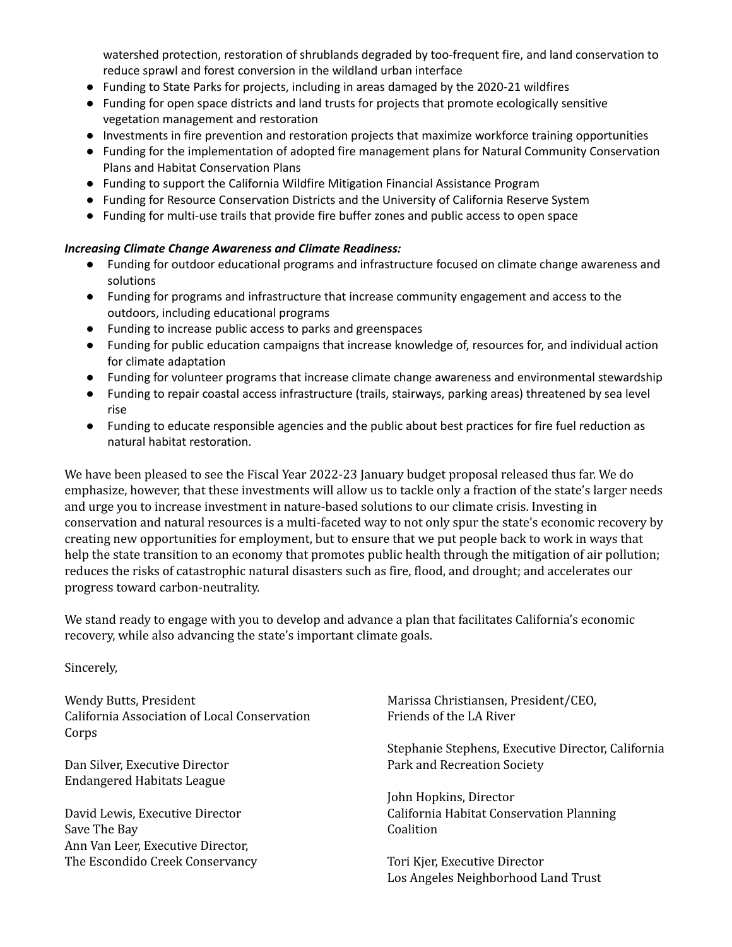watershed protection, restoration of shrublands degraded by too-frequent fire, and land conservation to reduce sprawl and forest conversion in the wildland urban interface

- Funding to State Parks for projects, including in areas damaged by the 2020-21 wildfires
- Funding for open space districts and land trusts for projects that promote ecologically sensitive vegetation management and restoration
- Investments in fire prevention and restoration projects that maximize workforce training opportunities
- Funding for the implementation of adopted fire management plans for Natural Community Conservation Plans and Habitat Conservation Plans
- Funding to support the California Wildfire Mitigation Financial Assistance Program
- Funding for Resource Conservation Districts and the University of California Reserve System
- Funding for multi-use trails that provide fire buffer zones and public access to open space

### *Increasing Climate Change Awareness and Climate Readiness:*

- Funding for outdoor educational programs and infrastructure focused on climate change awareness and solutions
- Funding for programs and infrastructure that increase community engagement and access to the outdoors, including educational programs
- Funding to increase public access to parks and greenspaces
- Funding for public education campaigns that increase knowledge of, resources for, and individual action for climate adaptation
- Funding for volunteer programs that increase climate change awareness and environmental stewardship
- Funding to repair coastal access infrastructure (trails, stairways, parking areas) threatened by sea level rise
- Funding to educate responsible agencies and the public about best practices for fire fuel reduction as natural habitat restoration.

We have been pleased to see the Fiscal Year 2022-23 January budget proposal released thus far. We do emphasize, however, that these investments will allow us to tackle only a fraction of the state's larger needs and urge you to increase investment in nature-based solutions to our climate crisis. Investing in conservation and natural resources is a multi-faceted way to not only spur the state's economic recovery by creating new opportunities for employment, but to ensure that we put people back to work in ways that help the state transition to an economy that promotes public health through the mitigation of air pollution; reduces the risks of catastrophic natural disasters such as fire, flood, and drought; and accelerates our progress toward carbon-neutrality.

We stand ready to engage with you to develop and advance a plan that facilitates California's economic recovery, while also advancing the state's important climate goals.

### Sincerely,

Wendy Butts, President California Association of Local Conservation Corps

Dan Silver, Executive Director Endangered Habitats League

David Lewis, Executive Director Save The Bay Ann Van Leer, Executive Director, The Escondido Creek Conservancy Marissa Christiansen, President/CEO, Friends of the LA River

Stephanie Stephens, Executive Director, California Park and Recreation Society

John Hopkins, Director California Habitat Conservation Planning Coalition

Tori Kjer, Executive Director Los Angeles Neighborhood Land Trust